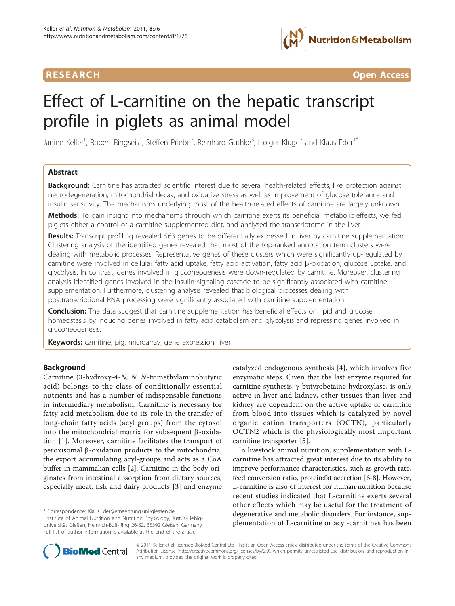

**RESEARCH CONTROL** CONTROL CONTROL CONTROL CONTROL CONTROL CONTROL CONTROL CONTROL CONTROL CONTROL CONTROL CONTROL CONTROL CONTROL CONTROL CONTROL CONTROL CONTROL CONTROL CONTROL CONTROL CONTROL CONTROL CONTROL CONTROL CON

# Effect of L-carnitine on the hepatic transcript profile in piglets as animal model

Janine Keller<sup>1</sup>, Robert Ringseis<sup>1</sup>, Steffen Priebe<sup>3</sup>, Reinhard Guthke<sup>3</sup>, Holger Kluge<sup>2</sup> and Klaus Eder<sup>1\*</sup>

# Abstract

Background: Carnitine has attracted scientific interest due to several health-related effects, like protection against neurodegeneration, mitochondrial decay, and oxidative stress as well as improvement of glucose tolerance and insulin sensitivity. The mechanisms underlying most of the health-related effects of carnitine are largely unknown.

Methods: To gain insight into mechanisms through which carnitine exerts its beneficial metabolic effects, we fed piglets either a control or a carnitine supplemented diet, and analysed the transcriptome in the liver.

Results: Transcript profiling revealed 563 genes to be differentially expressed in liver by carnitine supplementation. Clustering analysis of the identified genes revealed that most of the top-ranked annotation term clusters were dealing with metabolic processes. Representative genes of these clusters which were significantly up-regulated by carnitine were involved in cellular fatty acid uptake, fatty acid activation, fatty acid  $\beta$ -oxidation, glucose uptake, and glycolysis. In contrast, genes involved in gluconeogenesis were down-regulated by carnitine. Moreover, clustering analysis identified genes involved in the insulin signaling cascade to be significantly associated with carnitine supplementation. Furthermore, clustering analysis revealed that biological processes dealing with posttranscriptional RNA processing were significantly associated with carnitine supplementation.

**Conclusion:** The data suggest that carnitine supplementation has beneficial effects on lipid and glucose homeostasis by inducing genes involved in fatty acid catabolism and glycolysis and repressing genes involved in gluconeogenesis.

Keywords: carnitine, pig, microarray, gene expression, liver

### Background

Carnitine (3-hydroxy-4-N, N, N-trimethylaminobutyric acid) belongs to the class of conditionally essential nutrients and has a number of indispensable functions in intermediary metabolism. Carnitine is necessary for fatty acid metabolism due to its role in the transfer of long-chain fatty acids (acyl groups) from the cytosol into the mitochondrial matrix for subsequent  $\beta$ -oxidation [[1](#page-8-0)]. Moreover, carnitine facilitates the transport of peroxisomal  $\beta$ -oxidation products to the mitochondria, the export accumulating acyl-groups and acts as a CoA buffer in mammalian cells [[2](#page-8-0)]. Carnitine in the body originates from intestinal absorption from dietary sources, especially meat, fish and dairy products [\[3](#page-8-0)] and enzyme

\* Correspondence: [Klaus.Eder@ernaehrung.uni-giessen.de](mailto:Klaus.Eder@ernaehrung.uni-giessen.de)

catalyzed endogenous synthesis [\[4](#page-8-0)], which involves five enzymatic steps. Given that the last enzyme required for carnitine synthesis,  $\gamma$ -butyrobetaine hydroxylase, is only active in liver and kidney, other tissues than liver and kidney are dependent on the active uptake of carnitine from blood into tissues which is catalyzed by novel organic cation transporters (OCTN), particularly OCTN2 which is the physiologically most important carnitine transporter [[5\]](#page-8-0).

In livestock animal nutrition, supplementation with Lcarnitine has attracted great interest due to its ability to improve performance characteristics, such as growth rate, feed conversion ratio, protein:fat accretion [[6-8\]](#page-8-0). However, L-carnitine is also of interest for human nutrition because recent studies indicated that L-carnitine exerts several other effects which may be useful for the treatment of degenerative and metabolic disorders. For instance, supplementation of L-carnitine or acyl-carnitines has been



© 2011 Keller et al; licensee BioMed Central Ltd. This is an Open Access article distributed under the terms of the Creative Commons Attribution License [\(http://creativecommons.org/licenses/by/2.0](http://creativecommons.org/licenses/by/2.0)), which permits unrestricted use, distribution, and reproduction in any medium, provided the original work is properly cited.

<sup>&</sup>lt;sup>1</sup>Institute of Animal Nutrition and Nutrition Physiology, Justus-Liebig-Universität Gießen, Heinrich-Buff-Ring 26-32, 35392 Gießen, Germany Full list of author information is available at the end of the article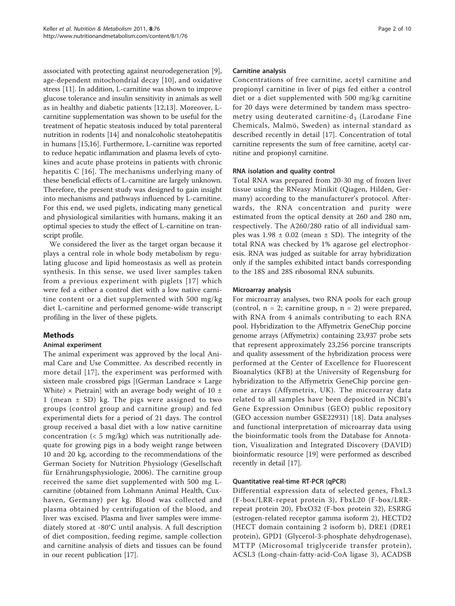associated with protecting against neurodegeneration [\[9](#page-8-0)], age-dependent mitochondrial decay [[10](#page-8-0)], and oxidative stress [[11\]](#page-8-0). In addition, L-carnitine was shown to improve glucose tolerance and insulin sensitivity in animals as well as in healthy and diabetic patients [[12,13](#page-8-0)]. Moreover, Lcarnitine supplementation was shown to be useful for the treatment of hepatic steatosis induced by total parenteral nutrition in rodents [\[14](#page-9-0)] and nonalcoholic steatohepatitis in humans [\[15,16\]](#page-9-0). Furthermore, L-carnitine was reported to reduce hepatic inflammation and plasma levels of cytokines and acute phase proteins in patients with chronic hepatitis C [\[16\]](#page-9-0). The mechanisms underlying many of these beneficial effects of L-carnitine are largely unknown. Therefore, the present study was designed to gain insight into mechanisms and pathways influenced by L-carnitine. For this end, we used piglets, indicating many genetical and physiological similarities with humans, making it an optimal species to study the effect of L-carnitine on transcript profile.

We considered the liver as the target organ because it plays a central role in whole body metabolism by regulating glucose and lipid homeostasis as well as protein synthesis. In this sense, we used liver samples taken from a previous experiment with piglets [[17](#page-9-0)] which were fed a either a control diet with a low native carnitine content or a diet supplemented with 500 mg/kg diet L-carnitine and performed genome-wide transcript profiling in the liver of these piglets.

# Methods

### Animal experiment

The animal experiment was approved by the local Animal Care and Use Committee. As described recently in more detail [[17](#page-9-0)], the experiment was performed with sixteen male crossbred pigs  $[$ (German Landrace  $\times$  Large White)  $\times$  Pietrain] with an average body weight of 10  $\pm$ 1 (mean ± SD) kg. The pigs were assigned to two groups (control group and carnitine group) and fed experimental diets for a period of 21 days. The control group received a basal diet with a low native carnitine concentration  $(< 5 \text{ mg/kg})$  which was nutritionally adequate for growing pigs in a body weight range between 10 and 20 kg, according to the recommendations of the German Society for Nutrition Physiology (Gesellschaft für Ernährungsphysiologie, 2006). The carnitine group received the same diet supplemented with 500 mg Lcarnitine (obtained from Lohmann Animal Health, Cuxhaven, Germany) per kg. Blood was collected and plasma obtained by centrifugation of the blood, and liver was excised. Plasma and liver samples were immediately stored at -80°C until analysis. A full description of diet composition, feeding regime, sample collection and carnitine analysis of diets and tissues can be found in our recent publication [[17](#page-9-0)].

## Carnitine analysis

Concentrations of free carnitine, acetyl carnitine and propionyl carnitine in liver of pigs fed either a control diet or a diet supplemented with 500 mg/kg carnitine for 20 days were determined by tandem mass spectrometry using deuterated carnitine- $d_3$  (Larodane Fine Chemicals, Malmö, Sweden) as internal standard as described recently in detail [[17\]](#page-9-0). Concentration of total carnitine represents the sum of free carnitine, acetyl carnitine and propionyl carnitine.

# RNA isolation and quality control

Total RNA was prepared from 20-30 mg of frozen liver tissue using the RNeasy Minikit (Qiagen, Hilden, Germany) according to the manufacturer's protocol. Afterwards, the RNA concentration and purity were estimated from the optical density at 260 and 280 nm, respectively. The A260/280 ratio of all individual samples was  $1.98 \pm 0.02$  (mean  $\pm$  SD). The integrity of the total RNA was checked by 1% agarose gel electrophoresis. RNA was judged as suitable for array hybridization only if the samples exhibited intact bands corresponding to the 18S and 28S ribosomal RNA subunits.

### Microarray analysis

For microarray analyses, two RNA pools for each group (control,  $n = 2$ ; carnitine group,  $n = 2$ ) were prepared, with RNA from 4 animals contributing to each RNA pool. Hybridization to the Affymetrix GeneChip porcine genome arrays (Affymetrix) containing 23,937 probe sets that represent approximately 23,256 porcine transcripts and quality assessment of the hybridization process were performed at the Center of Excellence for Fluorescent Bioanalytics (KFB) at the University of Regensburg for hybridization to the Affymetrix GeneChip porcine genome arrays (Affymetrix, UK). The microarray data related to all samples have been deposited in NCBI's Gene Expression Omnibus (GEO) public repository (GEO accession number GSE22931) [\[18](#page-9-0)]. Data analyses and functional interpretation of microarray data using the bioinformatic tools from the Database for Annotation, Visualization and Integrated Discovery (DAVID) bioinformatic resource [[19\]](#page-9-0) were performed as described recently in detail [[17\]](#page-9-0).

### Quantitative real-time RT-PCR (qPCR)

Differential expression data of selected genes, FbxL3 (F-box/LRR-repeat protein 3), FbxL20 (F-box/LRRrepeat protein 20), FbxO32 (F-box protein 32), ESRRG (estrogen-related receptor gamma isoform 2), HECTD2 (HECT domain containing 2 isoform b), DRE1 (DRE1 protein), GPD1 (Glycerol-3-phosphate dehydrogenase), MTTP (Microsomal triglyceride transfer protein), ACSL3 (Long-chain-fatty-acid-CoA ligase 3), ACADSB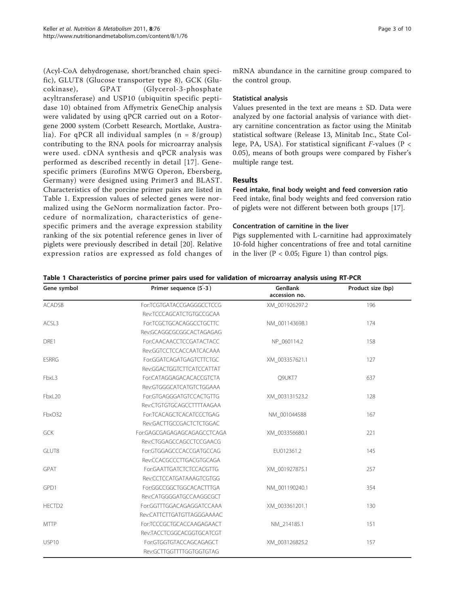(Acyl-CoA dehydrogenase, short/branched chain specific), GLUT8 (Glucose transporter type 8), GCK (Glucokinase), GPAT (Glycerol-3-phosphate acyltransferase) and USP10 (ubiquitin specific peptidase 10) obtained from Affymetrix GeneChip analysis were validated by using qPCR carried out on a Rotorgene 2000 system (Corbett Research, Mortlake, Australia). For qPCR all individual samples  $(n = 8/ \text{group})$ contributing to the RNA pools for microarray analysis were used. cDNA synthesis and qPCR analysis was performed as described recently in detail [[17\]](#page-9-0). Genespecific primers (Eurofins MWG Operon, Ebersberg, Germany) were designed using Primer3 and BLAST. Characteristics of the porcine primer pairs are listed in Table 1. Expression values of selected genes were normalized using the GeNorm normalization factor. Procedure of normalization, characteristics of genespecific primers and the average expression stability ranking of the six potential reference genes in liver of piglets were previously described in detail [\[20](#page-9-0)]. Relative expression ratios are expressed as fold changes of mRNA abundance in the carnitine group compared to the control group.

#### Statistical analysis

Values presented in the text are means  $\pm$  SD. Data were analyzed by one factorial analysis of variance with dietary carnitine concentration as factor using the Minitab statistical software (Release 13, Minitab Inc., State College, PA, USA). For statistical significant  $F$ -values (P < 0.05), means of both groups were compared by Fisher's multiple range test.

# Results

Feed intake, final body weight and feed conversion ratio Feed intake, final body weights and feed conversion ratio of piglets were not different between both groups [\[17\]](#page-9-0).

### Concentration of carnitine in the liver

Pigs supplemented with L-carnitine had approximately 10-fold higher concentrations of free and total carnitine in the liver ( $P < 0.05$ ; Figure [1](#page-3-0)) than control pigs.

| Gene symbol        | Primer sequence (5-3)       | <b>GenBank</b><br>accession no. | Product size (bp) |
|--------------------|-----------------------------|---------------------------------|-------------------|
| <b>ACADSB</b>      | For:TCGTGATACCGAGGGCCTCCG   | XM_001926297.2                  | 196               |
|                    | Rev:TCCCAGCATCTGTGCCGCAA    |                                 |                   |
| ACSL3              | For:TCGCTGCACAGGCCTGCTTC    | NM_001143698.1                  | 174               |
|                    | Rev:GCAGGCGCGCACTAGAGAG     |                                 |                   |
| DRE1               | For:CAACAACCTCCGATACTACC    | NP 060114.2                     | 158               |
|                    | Rev:GGTCCTCCACCAATCACAAA    |                                 |                   |
| <b>ESRRG</b>       | For:GGATCAGATGAGTCTTCTGC    | XM 003357621.1                  | 127               |
|                    | Rev:GGACTGGTCTTCATCCATTAT   |                                 |                   |
| FbxL3              | For:CATAGGAGACACACCGTCTA    | Q9UKT7                          | 637               |
|                    | Rev:GTGGGCATCATGTCTGGAAA    |                                 |                   |
| FbxL20             | For:GTGAGGGATGTCCACTGTTG    | XM_003131523.2                  | 128               |
|                    | Rev:CTGTGTGCAGCCTTTTAAGAA   |                                 |                   |
| FbxO32             | For:TCACAGCTCACATCCCTGAG    | NM 001044588                    | 167               |
|                    | Rev:GACTTGCCGACTCTCTGGAC    |                                 |                   |
| <b>GCK</b>         | For:GAGCGAGAGAGCAGAGCCTCAGA | XM 003356680.1                  | 221               |
|                    | Rev:CTGGAGCCAGCCTCCGAACG    |                                 |                   |
| GLUT8              | For:GTGGAGCCCACCGATGCCAG    | EU012361.2                      | 145               |
|                    | Rev:CCACGCCCTTGACGTGCAGA    |                                 |                   |
| GPAT               | For:GAATTGATCTCTCCACGTTG    | XM_001927875.1                  | 257               |
|                    | Rev:CCTCCATGATAAAGTCGTGG    |                                 |                   |
| GPD1               | For:GGCCGGCTGGCACACTTTGA    | NM_001190240.1                  | 354               |
|                    | Rev:CATGGGGATGCCAAGGCGCT    |                                 |                   |
| HECTD <sub>2</sub> | For:GGTTTGGACAGAGGATCCAAA   | XM 003361201.1                  | 130               |
|                    | Rev:CATTCTTGATGTTAGGGAAAAC  |                                 |                   |
| <b>MTTP</b>        | For:TCCCGCTGCACCAAGAGAACT   | NM 214185.1                     | 151               |
|                    | Rev:TACCTCGGCACGGTGCATCGT   |                                 |                   |
| USP10              | For:GTGGTGTACCAGCAGAGCT     | XM_003126825.2                  | 157               |
|                    | Rev:GCTTGGTTTTGGTGGTGTAG    |                                 |                   |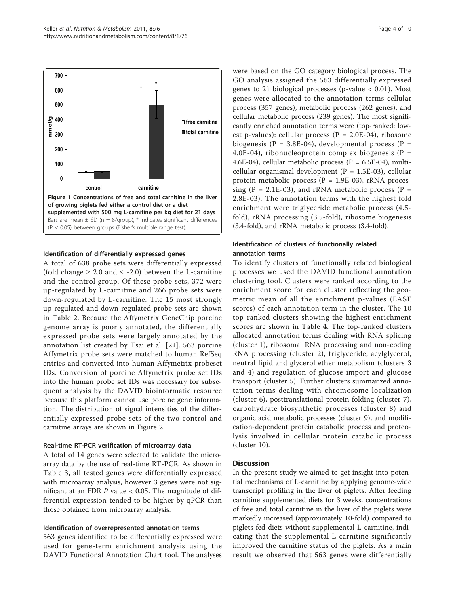<span id="page-3-0"></span>

#### Identification of differentially expressed genes

A total of 638 probe sets were differentially expressed (fold change  $\geq 2.0$  and  $\leq -2.0$ ) between the L-carnitine and the control group. Of these probe sets, 372 were up-regulated by L-carnitine and 266 probe sets were down-regulated by L-carnitine. The 15 most strongly up-regulated and down-regulated probe sets are shown in Table [2](#page-4-0). Because the Affymetrix GeneChip porcine genome array is poorly annotated, the differentially expressed probe sets were largely annotated by the annotation list created by Tsai et al. [\[21\]](#page-9-0). 563 porcine Affymetrix probe sets were matched to human RefSeq entries and converted into human Affymetrix probeset IDs. Conversion of porcine Affymetrix probe set IDs into the human probe set IDs was necessary for subsequent analysis by the DAVID bioinformatic resource because this platform cannot use porcine gene information. The distribution of signal intensities of the differentially expressed probe sets of the two control and carnitine arrays are shown in Figure [2](#page-5-0).

#### Real-time RT-PCR verification of microarray data

A total of 14 genes were selected to validate the microarray data by the use of real-time RT-PCR. As shown in Table [3,](#page-5-0) all tested genes were differentially expressed with microarray analysis, however 3 genes were not significant at an FDR  $P$  value < 0.05. The magnitude of differential expression tended to be higher by qPCR than those obtained from microarray analysis.

#### Identification of overrepresented annotation terms

563 genes identified to be differentially expressed were used for gene-term enrichment analysis using the DAVID Functional Annotation Chart tool. The analyses were based on the GO category biological process. The GO analysis assigned the 563 differentially expressed genes to 21 biological processes (p-value < 0.01). Most genes were allocated to the annotation terms cellular process (357 genes), metabolic process (262 genes), and cellular metabolic process (239 genes). The most significantly enriched annotation terms were (top-ranked: lowest p-values): cellular process ( $P = 2.0E-04$ ), ribosome biogenesis (P = 3.8E-04), developmental process (P = 4.0E-04), ribonucleoprotein complex biogenesis ( $P =$ 4.6E-04), cellular metabolic process (P = 6.5E-04), multicellular organismal development ( $P = 1.5E-03$ ), cellular protein metabolic process ( $P = 1.9E-03$ ), rRNA processing (P = 2.1E-03), and rRNA metabolic process (P = 2.8E-03). The annotation terms with the highest fold enrichment were triglyceride metabolic process (4.5 fold), rRNA processing (3.5-fold), ribosome biogenesis (3.4-fold), and rRNA metabolic process (3.4-fold).

#### Identification of clusters of functionally related annotation terms

To identify clusters of functionally related biological processes we used the DAVID functional annotation clustering tool. Clusters were ranked according to the enrichment score for each cluster reflecting the geometric mean of all the enrichment p-values (EASE scores) of each annotation term in the cluster. The 10 top-ranked clusters showing the highest enrichment scores are shown in Table [4](#page-6-0). The top-ranked clusters allocated annotation terms dealing with RNA splicing (cluster 1), ribosomal RNA processing and non-coding RNA processing (cluster 2), triglyceride, acylglycerol, neutral lipid and glycerol ether metabolism (clusters 3 and 4) and regulation of glucose import and glucose transport (cluster 5). Further clusters summarized annotation terms dealing with chromosome localization (cluster 6), posttranslational protein folding (cluster 7), carbohydrate biosynthetic processes (cluster 8) and organic acid metabolic processes (cluster 9), and modification-dependent protein catabolic process and proteolysis involved in cellular protein catabolic process (cluster 10).

#### **Discussion**

In the present study we aimed to get insight into potential mechanisms of L-carnitine by applying genome-wide transcript profiling in the liver of piglets. After feeding carnitine supplemented diets for 3 weeks, concentrations of free and total carnitine in the liver of the piglets were markedly increased (approximately 10-fold) compared to piglets fed diets without supplemental L-carnitine, indicating that the supplemental L-carnitine significantly improved the carnitine status of the piglets. As a main result we observed that 563 genes were differentially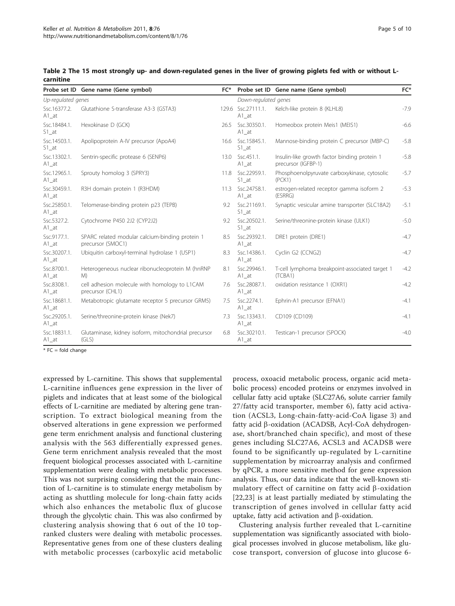|                                      | Probe set ID Gene name (Gene symbol)                                 | $FC*$ |                                            | Probe set ID Gene name (Gene symbol)                                | FC*    |  |  |  |
|--------------------------------------|----------------------------------------------------------------------|-------|--------------------------------------------|---------------------------------------------------------------------|--------|--|--|--|
| Up-regulated genes                   |                                                                      |       | Down-regulated genes                       |                                                                     |        |  |  |  |
| Ssc.16377.2.<br>$A1$ _at             | Glutathione S-transferase A3-3 (GSTA3)                               |       | 129.6 Ssc.27111.1.<br>$A1$ <sub>_</sub> at | Kelch-like protein 8 (KLHL8)                                        | $-7.9$ |  |  |  |
| Ssc.18484.1.<br>$S1$ <sub>_</sub> at | Hexokinase D (GCK)                                                   | 26.5  | Ssc.30350.1.<br>$A1$ <sub>_</sub> at       | Homeobox protein Meis1 (MEIS1)                                      | $-6.6$ |  |  |  |
| Ssc.14503.1.<br>$S1$ <sub>_</sub> at | Apolipoprotein A-IV precursor (ApoA4)                                |       | 16.6 Ssc.15845.1.<br>$S1$ _at              | Mannose-binding protein C precursor (MBP-C)                         | $-5.8$ |  |  |  |
| Ssc.13302.1.<br>$A1$ <sub>_</sub> at | Sentrin-specific protease 6 (SENP6)                                  | 13.0  | Ssc.451.1.<br>$A1$ _at                     | Insulin-like growth factor binding protein 1<br>precursor (IGFBP-1) | $-5.8$ |  |  |  |
| Ssc.12965.1.<br>$A1$ _at             | Sprouty homolog 3 (SPRY3)                                            | 11.8  | Ssc.22959.1.<br>$S1$ <sub>_</sub> at       | Phosphoenolpyruvate carboxykinase, cytosolic<br>(PCK1)              | $-5.7$ |  |  |  |
| Ssc.30459.1.<br>$A1$ _at             | R3H domain protein 1 (R3HDM)                                         | 11.3  | Ssc.24758.1.<br>$A1$ <sub>_</sub> at       | estrogen-related receptor gamma isoform 2<br>(ESRRG)                | $-5.3$ |  |  |  |
| Ssc.25850.1.<br>$A1$ <sub>_</sub> at | Telomerase-binding protein p23 (TEPB)                                | 9.2   | Ssc.21169.1.<br>$S1$ <sub>_</sub> at       | Synaptic vesicular amine transporter (SLC18A2)                      | $-5.1$ |  |  |  |
| Ssc.5327.2.<br>$A1$ _at              | Cytochrome P450 2J2 (CYP2J2)                                         | 9.2   | Ssc.20502.1.<br>$S1$ _at                   | Serine/threonine-protein kinase (ULK1)                              | $-5.0$ |  |  |  |
| Ssc.9177.1.<br>$A1$ <sub>_</sub> at  | SPARC related modular calcium-binding protein 1<br>precursor (SMOC1) | 8.5   | Ssc.29392.1.<br>$A1$ <sub>_</sub> at       | DRE1 protein (DRE1)                                                 | $-4.7$ |  |  |  |
| Ssc.30207.1.<br>$A1$ <sub>_</sub> at | Ubiquitin carboxyl-terminal hydrolase 1 (USP1)                       | 8.3   | Ssc.14386.1.<br>$A1$ <sub>_</sub> at       | Cyclin G2 (CCNG2)                                                   | $-4.7$ |  |  |  |
| Ssc.8700.1.<br>$A1$ _at              | Heterogeneous nuclear ribonucleoprotein M (hnRNP<br>M)               | 8.1   | Ssc.29946.1.<br>$A1$ <sub>_</sub> at       | T-cell lymphoma breakpoint-associated target 1<br>(TCBA1)           | $-4.2$ |  |  |  |
| Ssc.8308.1.<br>$A1$ <sub>_</sub> at  | cell adhesion molecule with homology to L1CAM<br>precursor (CHL1)    | 7.6   | Ssc.28087.1.<br>$A1$ <sub>_</sub> at       | oxidation resistance 1 (OXR1)                                       | $-4.2$ |  |  |  |
| Ssc.18681.1.<br>$A1$ <sub>_</sub> at | Metabotropic glutamate receptor 5 precursor GRM5)                    | 7.5   | Ssc.2274.1.<br>$A1$ <sub>_</sub> at        | Ephrin-A1 precursor (EFNA1)                                         | $-4.1$ |  |  |  |
| Ssc.29205.1.<br>$A1$ _at             | Serine/threonine-protein kinase (Nek7)                               | 7.3   | Ssc.13343.1.<br>$A1$ _at                   | CD109 (CD109)                                                       | $-4.1$ |  |  |  |
| Ssc.18831.1.<br>$A1$ <sub>_</sub> at | Glutaminase, kidney isoform, mitochondrial precursor<br>(GLS)        | 6.8   | Ssc.30210.1.<br>$A1$ _at                   | Testican-1 precursor (SPOCK)                                        | $-4.0$ |  |  |  |

<span id="page-4-0"></span>Table 2 The 15 most strongly up- and down-regulated genes in the liver of growing piglets fed with or without Lcarnitine

 $*$  FC = fold change

expressed by L-carnitine. This shows that supplemental L-carnitine influences gene expression in the liver of piglets and indicates that at least some of the biological effects of L-carnitine are mediated by altering gene transcription. To extract biological meaning from the observed alterations in gene expression we performed gene term enrichment analysis and functional clustering analysis with the 563 differentially expressed genes. Gene term enrichment analysis revealed that the most frequent biological processes associated with L-carnitine supplementation were dealing with metabolic processes. This was not surprising considering that the main function of L-carnitine is to stimulate energy metabolism by acting as shuttling molecule for long-chain fatty acids which also enhances the metabolic flux of glucose through the glycolytic chain. This was also confirmed by clustering analysis showing that 6 out of the 10 topranked clusters were dealing with metabolic processes. Representative genes from one of these clusters dealing with metabolic processes (carboxylic acid metabolic

process, oxoacid metabolic process, organic acid metabolic process) encoded proteins or enzymes involved in cellular fatty acid uptake (SLC27A6, solute carrier family 27/fatty acid transporter, member 6), fatty acid activation (ACSL3, Long-chain-fatty-acid-CoA ligase 3) and fatty acid b-oxidation (ACADSB, Acyl-CoA dehydrogenase, short/branched chain specific), and most of these genes including SLC27A6, ACSL3 and ACADSB were found to be significantly up-regulated by L-carnitine supplementation by microarray analysis and confirmed by qPCR, a more sensitive method for gene expression analysis. Thus, our data indicate that the well-known stimulatory effect of carnitine on fatty acid  $\beta$ -oxidation [[22,23\]](#page-9-0) is at least partially mediated by stimulating the transcription of genes involved in cellular fatty acid uptake, fatty acid activation and  $\beta$ -oxidation.

Clustering analysis further revealed that L-carnitine supplementation was significantly associated with biological processes involved in glucose metabolism, like glucose transport, conversion of glucose into glucose 6-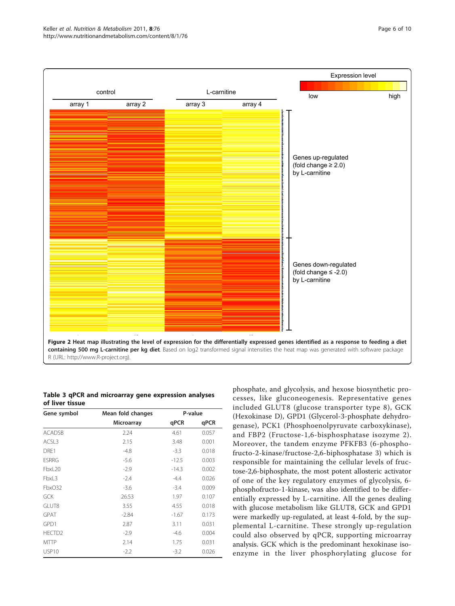<span id="page-5-0"></span>

R (URL:<http://www.R-project.org>).

Table 3 qPCR and microarray gene expression analyses of liver tissue

| Gene symbol        | Mean fold changes | P-value |       |
|--------------------|-------------------|---------|-------|
|                    | Microarray        | qPCR    | qPCR  |
| <b>ACADSB</b>      | 2.24              | 4.61    | 0.057 |
| ACSL3              | 2.15              | 3.48    | 0.001 |
| DRE1               | $-4.8$            | $-3.3$  | 0.018 |
| <b>ESRRG</b>       | $-5.6$            | $-12.5$ | 0.003 |
| FbxL20             | $-2.9$            | $-14.3$ | 0.002 |
| FbxL3              | $-2.4$            | $-4.4$  | 0.026 |
| FbxO32             | $-3.6$            | $-3.4$  | 0.009 |
| GCK                | 26.53             | 1.97    | 0.107 |
| GLUT8              | 3.55              | 4.55    | 0.018 |
| <b>GPAT</b>        | $-2.84$           | $-1.67$ | 0.173 |
| GPD1               | 2.87              | 3.11    | 0.031 |
| HECTD <sub>2</sub> | $-2.9$            | $-4.6$  | 0.004 |
| <b>MTTP</b>        | 2.14              | 1.75    | 0.031 |
| USP <sub>10</sub>  | $-2.2$            | -3.2    | 0.026 |

phosphate, and glycolysis, and hexose biosynthetic processes, like gluconeogenesis. Representative genes included GLUT8 (glucose transporter type 8), GCK (Hexokinase D), GPD1 (Glycerol-3-phosphate dehydrogenase), PCK1 (Phosphoenolpyruvate carboxykinase), and FBP2 (Fructose-1,6-bisphosphatase isozyme 2). Moreover, the tandem enzyme PFKFB3 (6-phosphofructo-2-kinase/fructose-2,6-biphosphatase 3) which is responsible for maintaining the cellular levels of fructose-2,6-biphosphate, the most potent allosteric activator of one of the key regulatory enzymes of glycolysis, 6 phosphofructo-1-kinase, was also identified to be differentially expressed by L-carnitine. All the genes dealing with glucose metabolism like GLUT8, GCK and GPD1 were markedly up-regulated, at least 4-fold, by the supplemental L-carnitine. These strongly up-regulation could also observed by qPCR, supporting microarray analysis. GCK which is the predominant hexokinase isoenzyme in the liver phosphorylating glucose for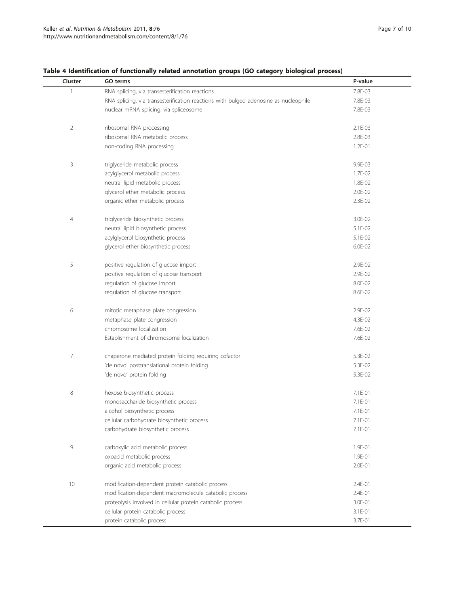| Cluster | GO terms                                                                             | P-value     |
|---------|--------------------------------------------------------------------------------------|-------------|
| 1       | RNA splicing, via transesterification reactions                                      | 7.8E-03     |
|         | RNA splicing, via transesterification reactions with bulged adenosine as nucleophile | 7.8E-03     |
|         | nuclear mRNA splicing, via spliceosome                                               | 7.8E-03     |
|         |                                                                                      |             |
| 2       | ribosomal RNA processing                                                             | 2.1E-03     |
|         | ribosomal RNA metabolic process                                                      | 2.8E-03     |
|         | non-coding RNA processing                                                            | $1.2E - 01$ |
|         |                                                                                      |             |
| 3       | triglyceride metabolic process                                                       | 9.9E-03     |
|         | acylglycerol metabolic process                                                       | $1.7E - 02$ |
|         | neutral lipid metabolic process                                                      | 1.8E-02     |
|         | glycerol ether metabolic process                                                     | 2.0E-02     |
|         | organic ether metabolic process                                                      | 2.3E-02     |
|         |                                                                                      |             |
| 4       | triglyceride biosynthetic process                                                    | 3.0E-02     |
|         | neutral lipid biosynthetic process                                                   | 5.1E-02     |
|         | acylglycerol biosynthetic process                                                    | 5.1E-02     |
|         | glycerol ether biosynthetic process                                                  | 6.0E-02     |
|         |                                                                                      |             |
| 5       | positive regulation of glucose import                                                | 2.9E-02     |
|         | positive regulation of glucose transport                                             | 2.9E-02     |
|         | regulation of glucose import                                                         | 8.0E-02     |
|         | regulation of glucose transport                                                      | 8.6E-02     |
| 6       | mitotic metaphase plate congression                                                  | 2.9E-02     |
|         | metaphase plate congression                                                          | 4.3E-02     |
|         | chromosome localization                                                              | 7.6E-02     |
|         | Establishment of chromosome localization                                             | 7.6E-02     |
|         |                                                                                      |             |
| 7       | chaperone mediated protein folding requiring cofactor                                | 5.3E-02     |
|         | 'de novo' posttranslational protein folding                                          | 5.3E-02     |
|         | 'de novo' protein folding                                                            | 5.3E-02     |
|         |                                                                                      |             |
| 8       | hexose biosynthetic process                                                          | 7.1E-01     |
|         | monosaccharide biosynthetic process                                                  | 7.1E-01     |
|         | alcohol biosynthetic process                                                         | 7.1E-01     |
|         | cellular carbohydrate biosynthetic process                                           | 7.1E-01     |
|         | carbohydrate biosynthetic process                                                    | 7.1E-01     |
| 9       | carboxylic acid metabolic process                                                    | 1.9E-01     |
|         | oxoacid metabolic process                                                            | 1.9E-01     |
|         | organic acid metabolic process                                                       | 2.0E-01     |
|         |                                                                                      |             |
| 10      | modification-dependent protein catabolic process                                     | 2.4E-01     |
|         | modification-dependent macromolecule catabolic process                               | 2.4E-01     |
|         | proteolysis involved in cellular protein catabolic process                           | 3.0E-01     |
|         | cellular protein catabolic process                                                   | 3.1E-01     |
|         | protein catabolic process                                                            | 3.7E-01     |

<span id="page-6-0"></span>Table 4 Identification of functionally related annotation groups (GO category biological process)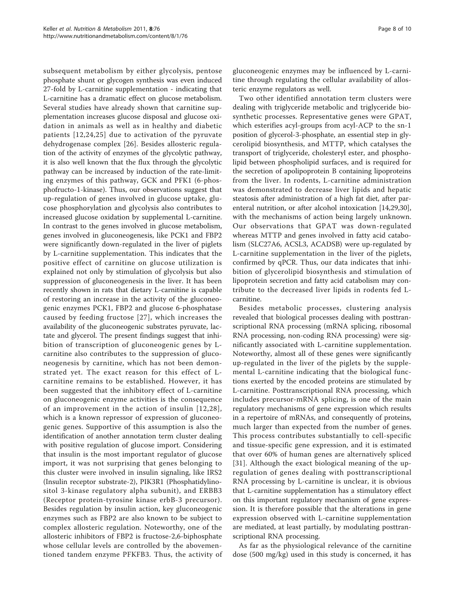subsequent metabolism by either glycolysis, pentose phosphate shunt or glycogen synthesis was even induced 27-fold by L-carnitine supplementation - indicating that L-carnitine has a dramatic effect on glucose metabolism. Several studies have already shown that carnitine supplementation increases glucose disposal and glucose oxidation in animals as well as in healthy and diabetic patients [[12,](#page-8-0)[24,25\]](#page-9-0) due to activation of the pyruvate dehydrogenase complex [\[26](#page-9-0)]. Besides allosteric regulation of the activity of enzymes of the glycolytic pathway, it is also well known that the flux through the glycolytic pathway can be increased by induction of the rate-limiting enzymes of this pathway, GCK and PFK1 (6-phosphofructo-1-kinase). Thus, our observations suggest that up-regulation of genes involved in glucose uptake, glucose phosphorylation and glycolysis also contributes to increased glucose oxidation by supplemental L-carnitine. In contrast to the genes involved in glucose metabolism, genes involved in gluconeogenesis, like PCK1 and FBP2 were significantly down-regulated in the liver of piglets by L-carnitine supplementation. This indicates that the positive effect of carnitine on glucose utilization is explained not only by stimulation of glycolysis but also suppression of gluconeogenesis in the liver. It has been recently shown in rats that dietary L-carnitine is capable of restoring an increase in the activity of the gluconeogenic enzymes PCK1, FBP2 and glucose 6-phosphatase caused by feeding fructose [[27](#page-9-0)], which increases the availability of the gluconeogenic substrates pyruvate, lactate and glycerol. The present findings suggest that inhibition of transcription of gluconeogenic genes by Lcarnitine also contributes to the suppression of gluconeogenesis by carnitine, which has not been demonstrated yet. The exact reason for this effect of Lcarnitine remains to be established. However, it has been suggested that the inhibitory effect of L-carnitine on gluconeogenic enzyme activities is the consequence of an improvement in the action of insulin [[12](#page-8-0),[28\]](#page-9-0), which is a known repressor of expression of gluconeogenic genes. Supportive of this assumption is also the identification of another annotation term cluster dealing with positive regulation of glucose import. Considering that insulin is the most important regulator of glucose import, it was not surprising that genes belonging to this cluster were involved in insulin signaling, like IRS2 (Insulin receptor substrate-2), PIK3R1 (Phosphatidylinositol 3-kinase regulatory alpha subunit), and ERBB3 (Receptor protein-tyrosine kinase erbB-3 precursor). Besides regulation by insulin action, key gluconeogenic enzymes such as FBP2 are also known to be subject to complex allosteric regulation. Noteworthy, one of the allosteric inhibitors of FBP2 is fructose-2,6-biphosphate whose cellular levels are controlled by the abovementioned tandem enzyme PFKFB3. Thus, the activity of

gluconeogenic enzymes may be influenced by L-carnitine through regulating the cellular availability of allosteric enzyme regulators as well.

Two other identified annotation term clusters were dealing with triglyceride metabolic and triglyceride biosynthetic processes. Representative genes were GPAT, which esterifies acyl-groups from acyl-ACP to the sn-1 position of glycerol-3-phosphate, an essential step in glycerolipid biosynthesis, and MTTP, which catalyses the transport of triglyceride, cholesteryl ester, and phospholipid between phospholipid surfaces, and is required for the secretion of apolipoprotein B containing lipoproteins from the liver. In rodents, L-carnitine administration was demonstrated to decrease liver lipids and hepatic steatosis after administration of a high fat diet, after parenteral nutrition, or after alcohol intoxication [[14](#page-9-0),[29,30](#page-9-0)], with the mechanisms of action being largely unknown. Our observations that GPAT was down-regulated whereas MTTP and genes involved in fatty acid catabolism (SLC27A6, ACSL3, ACADSB) were up-regulated by L-carnitine supplementation in the liver of the piglets, confirmed by qPCR. Thus, our data indicates that inhibition of glycerolipid biosynthesis and stimulation of lipoprotein secretion and fatty acid catabolism may contribute to the decreased liver lipids in rodents fed Lcarnitine.

Besides metabolic processes, clustering analysis revealed that biological processes dealing with posttranscriptional RNA processing (mRNA splicing, ribosomal RNA processing, non-coding RNA processing) were significantly associated with L-carnitine supplementation. Noteworthy, almost all of these genes were significantly up-regulated in the liver of the piglets by the supplemental L-carnitine indicating that the biological functions exerted by the encoded proteins are stimulated by L-carnitine. Posttranscriptional RNA processing, which includes precursor-mRNA splicing, is one of the main regulatory mechanisms of gene expression which results in a repertoire of mRNAs, and consequently of proteins, much larger than expected from the number of genes. This process contributes substantially to cell-specific and tissue-specific gene expression, and it is estimated that over 60% of human genes are alternatively spliced [[31](#page-9-0)]. Although the exact biological meaning of the upregulation of genes dealing with posttranscriptional RNA processing by L-carnitine is unclear, it is obvious that L-carnitine supplementation has a stimulatory effect on this important regulatory mechanism of gene expression. It is therefore possible that the alterations in gene expression observed with L-carnitine supplementation are mediated, at least partially, by modulating posttranscriptional RNA processing.

As far as the physiological relevance of the carnitine dose (500 mg/kg) used in this study is concerned, it has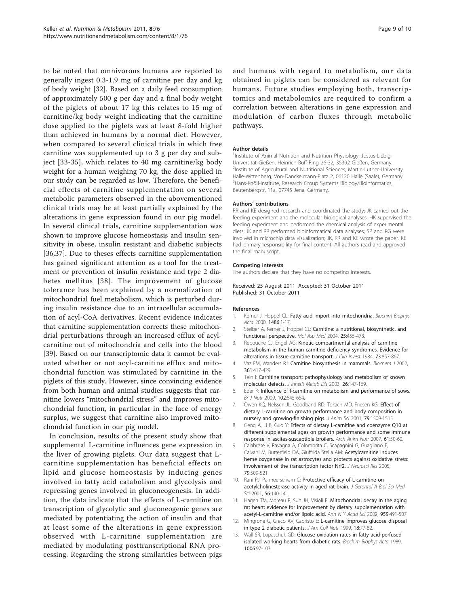<span id="page-8-0"></span>to be noted that omnivorous humans are reported to generally ingest 0.3-1.9 mg of carnitine per day and kg of body weight [\[32](#page-9-0)]. Based on a daily feed consumption of approximately 500 g per day and a final body weight of the piglets of about 17 kg this relates to 15 mg of carnitine/kg body weight indicating that the carnitine dose applied to the piglets was at least 8-fold higher than achieved in humans by a normal diet. However, when compared to several clinical trials in which free carnitine was supplemented up to 3 g per day and subject [[33-35\]](#page-9-0), which relates to 40 mg carnitine/kg body weight for a human weighing 70 kg, the dose applied in our study can be regarded as low. Therefore, the beneficial effects of carnitine supplementation on several metabolic parameters observed in the abovementioned clinical trials may be at least partially explained by the alterations in gene expression found in our pig model. In several clinical trials, carnitine supplementation was shown to improve glucose homeostasis and insulin sensitivity in obese, insulin resistant and diabetic subjects [[36,37](#page-9-0)]. Due to theses effects carnitine supplementation has gained significant attention as a tool for the treatment or prevention of insulin resistance and type 2 diabetes mellitus [[38\]](#page-9-0). The improvement of glucose tolerance has been explained by a normalization of mitochondrial fuel metabolism, which is perturbed during insulin resistance due to an intracellular accumulation of acyl-CoA derivatives. Recent evidence indicates that carnitine supplementation corrects these mitochondrial perturbations through an increased efflux of acylcarnitine out of mitochondria and cells into the blood [[39\]](#page-9-0). Based on our transcriptomic data it cannot be evaluated whether or not acyl-carnitine efflux and mitochondrial function was stimulated by carnitine in the piglets of this study. However, since convincing evidence from both human and animal studies suggests that carnitine lowers "mitochondrial stress" and improves mitochondrial function, in particular in the face of energy surplus, we suggest that carnitine also improved mitochondrial function in our pig model.

In conclusion, results of the present study show that supplemental L-carnitine influences gene expression in the liver of growing piglets. Our data suggest that Lcarnitine supplementation has beneficial effects on lipid and glucose homeostasis by inducing genes involved in fatty acid catabolism and glycolysis and repressing genes involved in gluconeogenesis. In addition, the data indicate that the effects of L-carnitine on transcription of glycolytic and gluconeogenic genes are mediated by potentiating the action of insulin and that at least some of the alterations in gene expression observed with L-carnitine supplementation are mediated by modulating posttranscriptional RNA processing. Regarding the strong similarities between pigs and humans with regard to metabolism, our data obtained in piglets can be considered as relevant for humans. Future studies employing both, transcriptomics and metabolomics are required to confirm a correlation between alterations in gene expression and modulation of carbon fluxes through metabolic pathways.

#### Author details

<sup>1</sup>Institute of Animal Nutrition and Nutrition Physiology, Justus-Liebig-Universität Gießen, Heinrich-Buff-Ring 26-32, 35392 Gießen, Germany. <sup>2</sup>Institute of Agricultural and Nutritional Sciences, Martin-Luther-University Halle-Wittenberg, Von-Danckelmann-Platz 2, 06120 Halle (Saale), Germany. <sup>3</sup> Hans-Knöll-Institute, Research Group Systems Biology/Bioinformatics Beutenbergstr. 11a, 07745 Jena, Germany.

#### Authors' contributions

RR and KE designed research and coordinated the study; JK carried out the feeding experiment and the molecular biological analyses; HK supervised the feeding experiment and performed the chemical analysis of experimental diets; JK and RR performed bioinformatical data analyses; SP and RG were involved in microchip data visualization; JK, RR and KE wrote the paper. KE had primary responsibility for final content. All authors read and approved the final manuscript.

#### Competing interests

The authors declare that they have no competing interests.

Received: 25 August 2011 Accepted: 31 October 2011 Published: 31 October 2011

#### References

- 1. Kerner J, Hoppel CL: [Fatty acid import into mitochondria.](http://www.ncbi.nlm.nih.gov/pubmed/10856709?dopt=Abstract) Biochim Biophys Acta 2000, 1486:1-17.
- 2. Steiber A, Kerner J, Hoppel CL: Carnitine: a nutritional, biosynthetic, and functional perspective. Mol Asp Med 2004, 25:455-473.
- 3. Rebouche CJ, Engel AG: [Kinetic compartmental analysis of carnitine](http://www.ncbi.nlm.nih.gov/pubmed/6707204?dopt=Abstract) [metabolism in the human carnitine deficiency syndromes. Evidence for](http://www.ncbi.nlm.nih.gov/pubmed/6707204?dopt=Abstract) [alterations in tissue carnitine transport.](http://www.ncbi.nlm.nih.gov/pubmed/6707204?dopt=Abstract) J Clin Invest 1984, 73:857-867.
- 4. Vaz FM, Wanders RJ: [Carnitine biosynthesis in mammals.](http://www.ncbi.nlm.nih.gov/pubmed/11802770?dopt=Abstract) Biochem J 2002, 361:417-429.
- 5. Tein I: [Carnitine transport: pathophysiology and metabolism of known](http://www.ncbi.nlm.nih.gov/pubmed/12889657?dopt=Abstract) [molecular defects.](http://www.ncbi.nlm.nih.gov/pubmed/12889657?dopt=Abstract) J Inherit Metab Dis 2003, 26:147-169.
- Eder K: Influence of I-carnitine on metabolism and performance of sows. Br J Nutr 2009, 102:645-654.
- 7. Owen KQ, Nelssen JL, Goodband RD, Tokach MD, Friesen KG: [Effect of](http://www.ncbi.nlm.nih.gov/pubmed/11424688?dopt=Abstract) [dietary L-carnitine on growth performance and body composition in](http://www.ncbi.nlm.nih.gov/pubmed/11424688?dopt=Abstract) [nursery and growing-finishing pigs.](http://www.ncbi.nlm.nih.gov/pubmed/11424688?dopt=Abstract) J Anim Sci 2001, 79:1509-1515.
- 8. Geng A, Li B, Guo Y: [Effects of dietary L-carnitine and coenzyme Q10 at](http://www.ncbi.nlm.nih.gov/pubmed/17361948?dopt=Abstract) [different supplemental ages on growth performance and some immune](http://www.ncbi.nlm.nih.gov/pubmed/17361948?dopt=Abstract) [response in ascites-susceptible broilers.](http://www.ncbi.nlm.nih.gov/pubmed/17361948?dopt=Abstract) Arch Anim Nutr 2007, 61:50-60.
- 9. Calabrese V, Ravagna A, Colombrita C, Scapagnini G, Guagliano E, Calvani M, Butterfield DA, Giuffrida Stella AM: [Acetylcarnitine induces](http://www.ncbi.nlm.nih.gov/pubmed/15641110?dopt=Abstract) [heme oxygenase in rat astrocytes and protects against oxidative stress:](http://www.ncbi.nlm.nih.gov/pubmed/15641110?dopt=Abstract) [involvement of the transcription factor Nrf2.](http://www.ncbi.nlm.nih.gov/pubmed/15641110?dopt=Abstract) J Neurosci Res 2005, 79:509-521.
- 10. Rani PJ, Panneerselvam C: Protective efficacy of L-carnitine on acetylcholinesterase activity in aged rat brain. J Gerontol A Biol Sci Med Sci 2001, 56:140-141.
- 11. Hagen TM, Moreau R, Suh JH, Visioli F: [Mitochondrial decay in the aging](http://www.ncbi.nlm.nih.gov/pubmed/11976222?dopt=Abstract) [rat heart: evidence for improvement by dietary supplementation with](http://www.ncbi.nlm.nih.gov/pubmed/11976222?dopt=Abstract) [acetyl-L-carnitine and/or lipoic acid.](http://www.ncbi.nlm.nih.gov/pubmed/11976222?dopt=Abstract) Ann N Y Acad Sci 2002, 959:491-507.
- 12. Mingrone G, Greco AV, Capristo E: [L-carnitine improves glucose disposal](http://www.ncbi.nlm.nih.gov/pubmed/10067662?dopt=Abstract) [in type 2 diabetic patients.](http://www.ncbi.nlm.nih.gov/pubmed/10067662?dopt=Abstract) J Am Coll Nutr 1999, 18:77-82.
- 13. Wall SR, Lopaschuk GD: [Glucose oxidation rates in fatty acid-perfused](http://www.ncbi.nlm.nih.gov/pubmed/2804076?dopt=Abstract) [isolated working hearts from diabetic rats.](http://www.ncbi.nlm.nih.gov/pubmed/2804076?dopt=Abstract) Biochim Biophys Acta 1989, 1006:97-103.